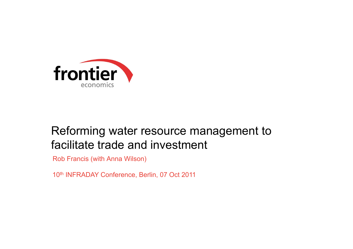

# Reforming water resource management to facilitate trade and investment

Rob Francis (with Anna Wilson)

10<sup>th</sup> INFRADAY Conference, Berlin, 07 Oct 2011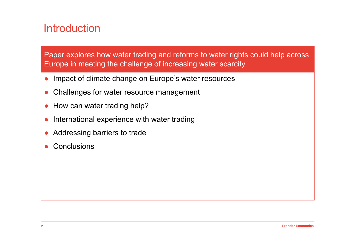#### **Introduction**

Paper explores how water trading and reforms to water rights could help across Europe in meeting the challenge of increasing water scarcity

- $\bullet$ Impact of climate change on Europe's water resources
- $\bullet$ Challenges for water resource management
- $\bullet$ How can water trading help?
- ●International experience with water trading
- $\bullet$ Addressing barriers to trade
- ●Conclusions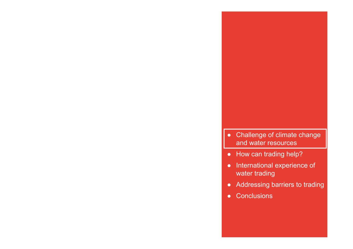- Challenge of climate change and water resources
- How can trading help?
- ● International experience of water trading
- $\bullet$ Addressing barriers to trading
- Conclusions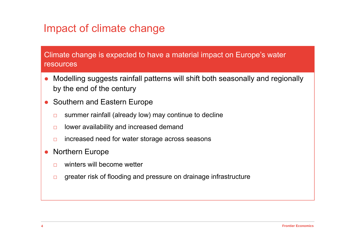### Impact of climate change

#### Climate change is expected to have a material impact on Europe's water resources

- $\bullet$  Modelling suggests rainfall patterns will shift both seasonally and regionally by the end of the century
- ● Southern and Eastern Europe
	- □summer rainfall (already low) may continue to decline
	- $\Box$ lower availability and increased demand
	- □increased need for water storage across seasons
- ● Northern Europe
	- $\Box$ winters will become wetter
	- □greater risk of flooding and pressure on drainage infrastructure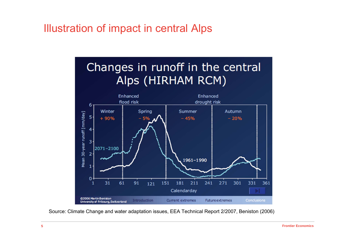#### Illustration of impact in central Alps



Source: Climate Change and water adaptation issues, EEA Technical Report 2/2007, Beniston (2006)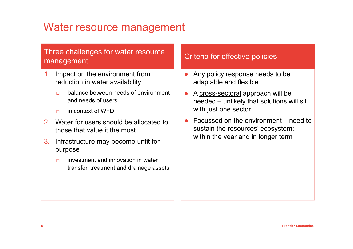#### Water resource management

# Three challenges for water resource<br>
Three challenges for water resource<br>
Criteria for effective policies

- 1. Impact on the environment from reduction in water availability
	- □ balance between needs of environment and needs of users
	- □in context of WFD
- 2. Water for users should be allocated to those that value it the most
- 3. Infrastructure may become unfit for purpose
	- $\Box$  investment and innovation in water transfer, treatment and drainage assets

- $\bullet$  Any policy response needs to be adaptable and flexible
- $\bullet$  A cross-sectoral approach will be needed – unlikely that solutions will sit with just one sector
- ● Focussed on the environment – need to sustain the resources' ecosystem: within the year and in longer term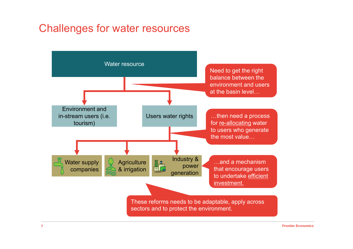#### Challenges for water resources

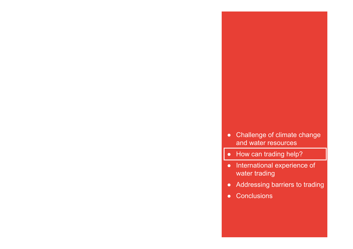- Challenge of climate change and water resources
- How can trading help?
- International experience of water trading
- $\bullet$ Addressing barriers to trading
- Conclusions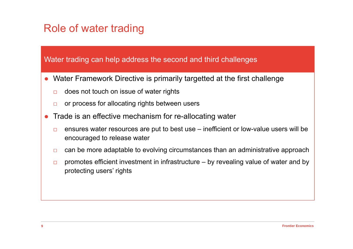### Role of water trading

Water trading can help address the second and third challenges

- $\bullet$  Water Framework Directive is primarily targetted at the first challenge
	- □does not touch on issue of water rights
	- □or process for allocating rights between users
- $\bullet$  Trade is an effective mechanism for re-allocating water
	- □ ensures water resources are put to best use – inefficient or low-value users will be encouraged to release water
	- □can be more adaptable to evolving circumstances than an administrative approach
	- □ promotes efficient investment in infrastructure – by revealing value of water and by protecting users' rights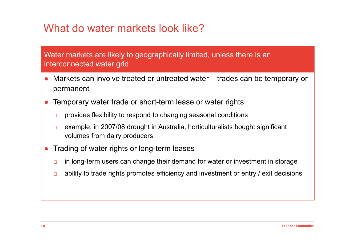### What do water markets look like?

#### Water markets are likely to geographically limited, unless there is an interconnected water grid

- ● Markets can involve treated or untreated water – trades can be temporary or permanent
- ● Temporary water trade or short-term lease or water rights
	- □provides flexibility to respond to changing seasonal conditions
	- □ example: in 2007/08 drought in Australia, horticulturalists bought significant volumes from dairy producers
- ● Trading of water rights or long-term leases
	- □in long-term users can change their demand for water or investment in storage
	- □ability to trade rights promotes efficiency and investment or entry / exit decisions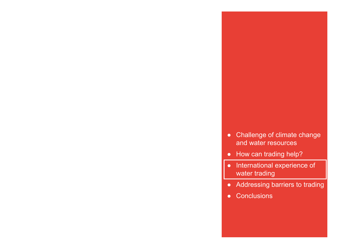- ●Challenge of climate change and water resources
- How can trading help?
- International experience of water trading
- $\bullet$ Addressing barriers to trading
- Conclusions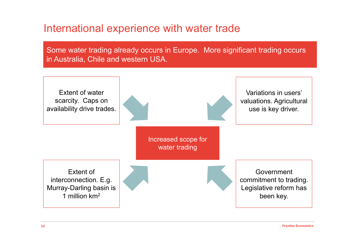#### International experience with water trade

Some water trading already occurs in Europe. More significant trading occurs in Australia, Chile and western USA.

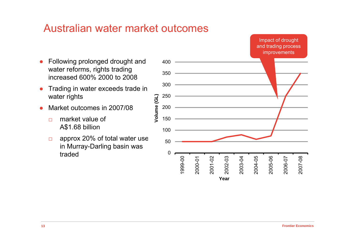

### Australian water market outcomes

- Following prolonged drought and water reforms, rights trading increased 600% 2000 to 2008
- ● Trading in water exceeds trade in water rights
- ● Market outcomes in 2007/08
	- $\Box$  market value of A\$1.68 billion
	- □ approx 20% of total water use in Murray-Darling basin was traded 0

2007-08

2005-06

**Year**

2006-07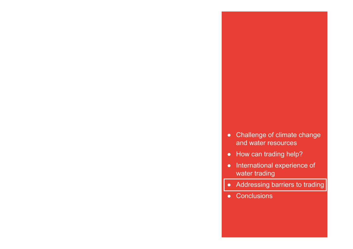- Challenge of climate change and water resources
- How can trading help?
- ● International experience of water trading
- $\bullet$ Addressing barriers to trading
- Conclusions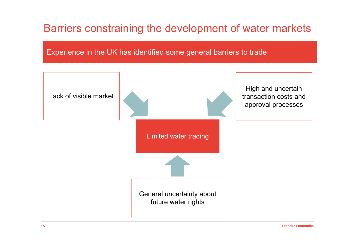### Barriers constraining the development of water markets

Experience in the UK has identified some general barriers to trade

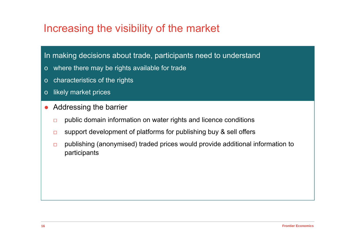#### Increasing the visibility of the market

#### In making decisions about trade, participants need to understand

- o where there may be rights available for trade
- o characteristics of the rights
- o likely market prices
- $\bullet$  Addressing the barrier
	- □public domain information on water rights and licence conditions
	- □support development of platforms for publishing buy & sell offers
	- □ publishing (anonymised) traded prices would provide additional information to participants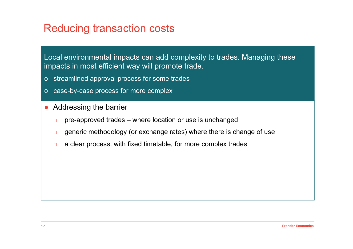#### Reducing transaction costs

Local environmental impacts can add complexity to trades. Managing these impacts in most efficient way will promote trade.

- o streamlined approval process for some trades
- o case-by-case process for more complex
- $\bullet$  Addressing the barrier
	- □pre-approved trades – where location or use is unchanged
	- □generic methodology (or exchange rates) where there is change of use
	- □a clear process, with fixed timetable, for more complex trades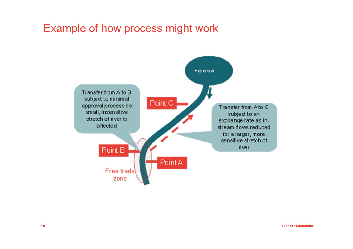#### Example of how process might work

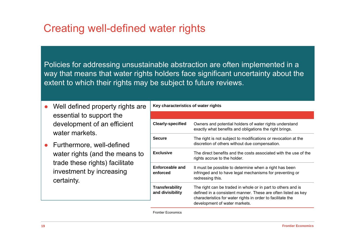#### Creating well-defined water rights

Policies for addressing unsustainable abstraction are often implemented in a way that means that water rights holders face significant uncertainty about the extent to which their rights may be subject to future reviews.

- $\bullet$  Well defined property rights are essential to support the development of an efficient water markets
- ● Furthermore, well-defined water rights (and the means to trade these rights) facilitate investment by increasing certainty.

**Key characteristics of water rights**

| <b>Clearly-specified</b>            | Owners and potential holders of water rights understand<br>exactly what benefits and obligations the right brings.                                                                                                            |
|-------------------------------------|-------------------------------------------------------------------------------------------------------------------------------------------------------------------------------------------------------------------------------|
| <b>Secure</b>                       | The right is not subject to modifications or revocation at the<br>discretion of others without due compensation.                                                                                                              |
| <b>Exclusive</b>                    | The direct benefits and the costs associated with the use of the<br>rights accrue to the holder.                                                                                                                              |
| Enforceable and<br>enforced         | It must be possible to determine when a right has been<br>infringed and to have legal mechanisms for preventing or<br>redressing this.                                                                                        |
| Transferability<br>and divisibility | The right can be traded in whole or in part to others and is<br>defined in a consistent manner. These are often listed as key<br>characteristics for water rights in order to facilitate the<br>development of water markets. |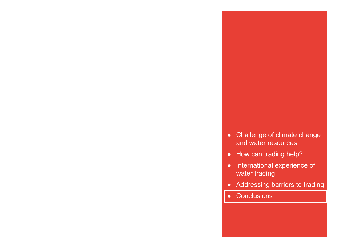- Challenge of climate change and water resources
- How can trading help?
- $\bullet$  International experience of water trading
- $\bullet$ Addressing barriers to trading
- Conclusions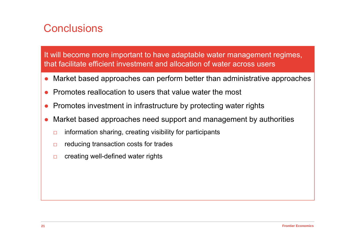## **Conclusions**

It will become more important to have adaptable water management regimes, that facilitate efficient investment and allocation of water across users

- $\bullet$ Market based approaches can perform better than administrative approaches
- ●Promotes reallocation to users that value water the most
- $\bullet$ Promotes investment in infrastructure by protecting water rights
- ● Market based approaches need support and management by authorities
	- □information sharing, creating visibility for participants
	- □reducing transaction costs for trades
	- □creating well-defined water rights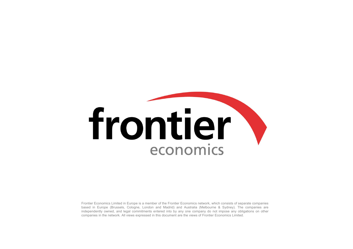# frontier economics

Frontier Economics Limited in Europe is <sup>a</sup> member of the Frontier Economics network, which consists of separate companies based in Europe (Brussels, Cologne, London and Madrid) and Australia (Melbourne & Sydney). The companies are independently owned, and legal commitments entered into by any one company do not impose any obligations on other companies in the network. All views expressed in this document are the views of Frontier Economics Limited.